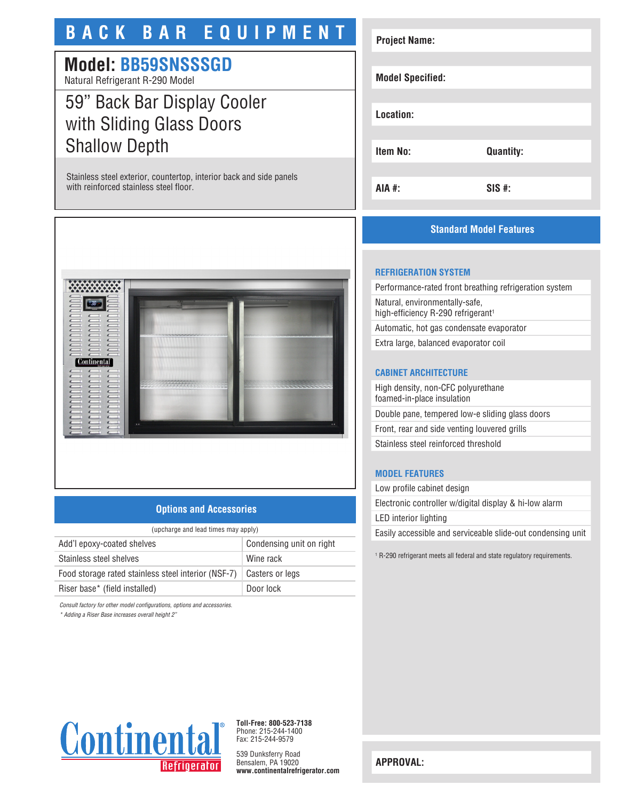# **BACK BAR EQUIPMENT**

# **Model: BB59SNSSSGD**

Natural Refrigerant R-290 Model

## 59" Back Bar Display Cooler with Sliding Glass Doors Shallow Depth

Stainless steel exterior, countertop, interior back and side panels with reinforced stainless steel floor.



## **Options and Accessories**

| (upcharge and lead times may apply) |  |  |
|-------------------------------------|--|--|
| Condensing unit on right            |  |  |
| Wine rack                           |  |  |
| Casters or legs                     |  |  |
| Door lock                           |  |  |
|                                     |  |  |

*Consult factory for other model configurations, options and accessories.*

*\* Adding a Riser Base increases overall height 2"*

# **Project Name: Model Specified: Location: Item No: Quantity: AIA #: SIS #:**

## **Standard Model Features**

### **REFRIGERATION SYSTEM**

Performance-rated front breathing refrigeration system Natural, environmentally-safe, high-efficiency R-290 refrigerant<sup>1</sup> Automatic, hot gas condensate evaporator

Extra large, balanced evaporator coil

#### **CABINET ARCHITECTURE**

High density, non-CFC polyurethane foamed-in-place insulation Double pane, tempered low-e sliding glass doors Front, rear and side venting louvered grills Stainless steel reinforced threshold

#### **MODEL FEATURES**

Low profile cabinet design Electronic controller w/digital display & hi-low alarm LED interior lighting Easily accessible and serviceable slide-out condensing unit

1 R-290 refrigerant meets all federal and state regulatory requirements.



**Toll-Free: 800-523-7138** Phone: 215-244-1400 Fax: 215-244-9579

539 Dunksferry Road Bensalem, PA 19020 **www.continentalrefrigerator.com** 

**APPROVAL:**